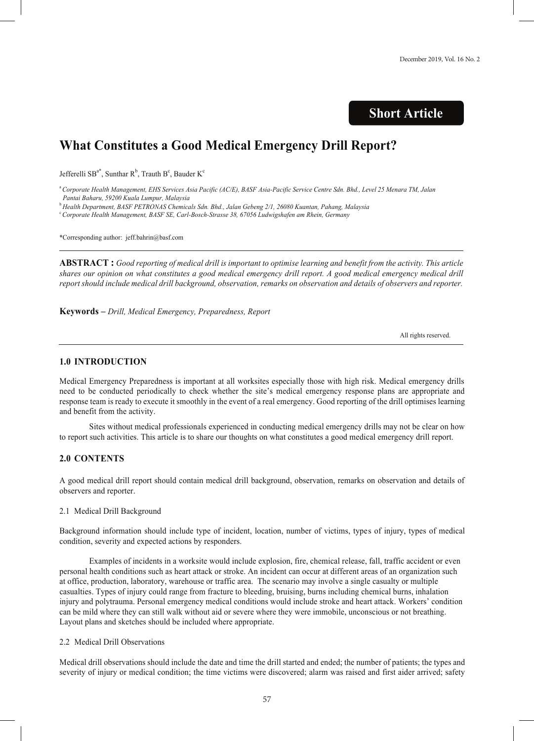## **Short Article**

# **What Constitutes a Good Medical Emergency Drill Report?**

Jefferelli SB<sup>a\*</sup>, Sunthar R<sup>b</sup>, Trauth B<sup>c</sup>, Bauder K<sup>c</sup>

<sup>a</sup> Corporate Health Management, EHS Services Asia Pacific (AC/E), BASF Asia-Pacific Service Centre Sdn. Bhd., Level 25 Menara TM, Jalan *Pantai Baharu, 59200 Kuala Lumpur, Malaysia*

<sup>b</sup> *Health Department, BASF PETRONAS Chemicals Sdn. Bhd., Jalan Gebeng 2/1, 26080 Kuantan, Pahang, Malaysia*

c *Corporate Health Management, BASF SE, Carl-Bosch-Strasse 38, 67056 Ludwigshafen am Rhein, Germany*

\*Corresponding author: jeff.bahrin@basf.com

**ABSTRACT**: Good reporting of medical drill is important to optimise learning and benefit from the activity. This article shares our opinion on what constitutes a good medical emergency drill report. A good medical emergency medical drill report should include medical drill background, observation, remarks on observation and details of observers and reporter.

**Keywords –** *Drill, Medical Emergency, Preparedness, Report*

All rights reserved.

#### **1.0 INTRODUCTION**

Medical Emergency Preparedness is important at all worksites especially those with high risk. Medical emergency drills need to be conducted periodically to check whether the site's medical emergency response plans are appropriate and response team is ready to execute it smoothly in the event of a real emergency. Good reporting of the drill optimises learning and benefit from the activity.

Sites without medical professionals experienced in conducting medical emergency drills may not be clear on how to report such activities. This article is to share our thoughts on what constitutes a good medical emergency drill report.

### **2.0 CONTENTS**

A good medical drill report should contain medical drill background, observation, remarks on observation and details of observers and reporter.

#### 2.1 Medical Drill Background

Background information should include type of incident, location, number of victims, types of injury, types of medical condition, severity and expected actions by responders.

Examples of incidents in a worksite would include explosion, fire, chemical release, fall, traffic accident or even personal health conditions such as heart attack or stroke. An incident can occur at different areas of an organization such at office, production, laboratory, warehouse or traffic area. The scenario may involve a single casualty or multiple casualties. Types of injury could range from fracture to bleeding, bruising, burns including chemical burns, inhalation injury and polytrauma. Personal emergency medical conditions would include stroke and heart attack. Workers' condition can be mild where they can still walk without aid or severe where they were immobile, unconscious or not breathing. Layout plans and sketches should be included where appropriate.

#### 2.2 Medical Drill Observations

Medical drill observations should include the date and time the drill started and ended; the number of patients; the types and severity of injury or medical condition; the time victims were discovered; alarm was raised and first aider arrived; safety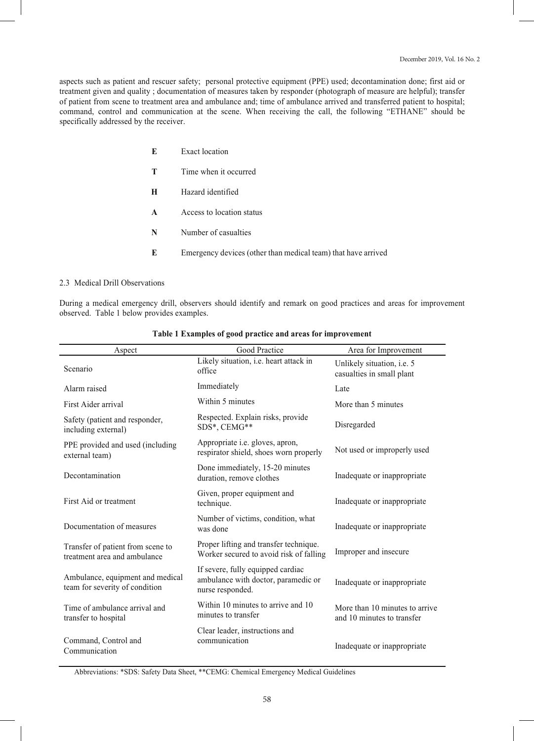aspects such as patient and rescuer safety; personal protective equipment (PPE) used; decontamination done; first aid or treatment given and quality ; documentation of measures taken by responder (photograph of measure are helpful); transfer of patient from scene to treatment area and ambulance and; time of ambulance arrived and transferred patient to hospital; command, control and communication at the scene. When receiving the call, the following "ETHANE" should be specifically addressed by the receiver.

| E | Exact location                                                |
|---|---------------------------------------------------------------|
| т | Time when it occurred                                         |
| н | Hazard identified                                             |
| A | Access to location status                                     |
| N | Number of casualties                                          |
| E | Emergency devices (other than medical team) that have arrived |

#### 2.3 Medical Drill Observations

During a medical emergency drill, observers should identify and remark on good practices and areas for improvement observed. Table 1 below provides examples.

| Aspect                                                             | Good Practice                                                                                | Area for Improvement                                         |
|--------------------------------------------------------------------|----------------------------------------------------------------------------------------------|--------------------------------------------------------------|
| Scenario                                                           | Likely situation, <i>i.e.</i> heart attack in<br>office                                      | Unlikely situation, i.e. 5<br>casualties in small plant      |
| Alarm raised                                                       | Immediately                                                                                  | Late                                                         |
| First Aider arrival                                                | Within 5 minutes                                                                             | More than 5 minutes                                          |
| Safety (patient and responder,<br>including external)              | Respected. Explain risks, provide<br>SDS*, CEMG**                                            | Disregarded                                                  |
| PPE provided and used (including<br>external team)                 | Appropriate <i>i.e.</i> gloves, apron,<br>respirator shield, shoes worn properly             | Not used or improperly used                                  |
| Decontamination                                                    | Done immediately, 15-20 minutes<br>duration, remove clothes                                  | Inadequate or inappropriate                                  |
| First Aid or treatment                                             | Given, proper equipment and<br>technique.                                                    | Inadequate or inappropriate                                  |
| Documentation of measures                                          | Number of victims, condition, what<br>was done                                               | Inadequate or inappropriate                                  |
| Transfer of patient from scene to<br>treatment area and ambulance  | Proper lifting and transfer technique.<br>Worker secured to avoid risk of falling            | Improper and insecure                                        |
| Ambulance, equipment and medical<br>team for severity of condition | If severe, fully equipped cardiac<br>ambulance with doctor, paramedic or<br>nurse responded. | Inadequate or inappropriate                                  |
| Time of ambulance arrival and<br>transfer to hospital              | Within 10 minutes to arrive and 10<br>minutes to transfer                                    | More than 10 minutes to arrive<br>and 10 minutes to transfer |
| Command, Control and<br>Communication                              | Clear leader, instructions and<br>communication                                              | Inadequate or inappropriate                                  |

#### **Table 1 Examples of good practice and areas for improvement**

Abbreviations: \*SDS: Safety Data Sheet, \*\*CEMG: Chemical Emergency Medical Guidelines